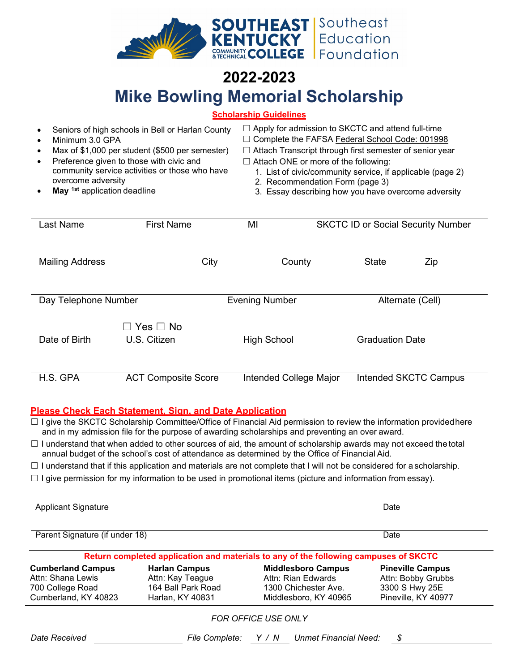

## **2022-2023 Mike Bowling Memorial Scholarship**

### **Scholarship Guidelines**

| Seniors of high schools in Bell or Harlan County<br>Minimum 3.0 GPA<br>٠<br>Max of \$1,000 per student (\$500 per semester)<br>$\bullet$<br>Preference given to those with civic and<br>$\bullet$<br>community service activities or those who have<br>overcome adversity<br>May <sup>1st</sup> application deadline |                            | $\Box$ Apply for admission to SKCTC and attend full-time<br>Complete the FAFSA Federal School Code: 001998<br>$\Box$ Attach Transcript through first semester of senior year<br>$\Box$ Attach ONE or more of the following:<br>1. List of civic/community service, if applicable (page 2)<br>2. Recommendation Form (page 3)<br>3. Essay describing how you have overcome adversity |                                           |     |  |
|----------------------------------------------------------------------------------------------------------------------------------------------------------------------------------------------------------------------------------------------------------------------------------------------------------------------|----------------------------|-------------------------------------------------------------------------------------------------------------------------------------------------------------------------------------------------------------------------------------------------------------------------------------------------------------------------------------------------------------------------------------|-------------------------------------------|-----|--|
| Last Name                                                                                                                                                                                                                                                                                                            | <b>First Name</b>          | MI                                                                                                                                                                                                                                                                                                                                                                                  | <b>SKCTC ID or Social Security Number</b> |     |  |
|                                                                                                                                                                                                                                                                                                                      |                            |                                                                                                                                                                                                                                                                                                                                                                                     |                                           |     |  |
| <b>Mailing Address</b>                                                                                                                                                                                                                                                                                               | City                       | County                                                                                                                                                                                                                                                                                                                                                                              | <b>State</b>                              | Zip |  |
|                                                                                                                                                                                                                                                                                                                      |                            |                                                                                                                                                                                                                                                                                                                                                                                     |                                           |     |  |
| Day Telephone Number                                                                                                                                                                                                                                                                                                 |                            | <b>Evening Number</b><br>Alternate (Cell)                                                                                                                                                                                                                                                                                                                                           |                                           |     |  |
|                                                                                                                                                                                                                                                                                                                      | $\Box$ Yes $\Box$ No       |                                                                                                                                                                                                                                                                                                                                                                                     |                                           |     |  |
| Date of Birth                                                                                                                                                                                                                                                                                                        | U.S. Citizen               | <b>High School</b>                                                                                                                                                                                                                                                                                                                                                                  | <b>Graduation Date</b>                    |     |  |
|                                                                                                                                                                                                                                                                                                                      |                            |                                                                                                                                                                                                                                                                                                                                                                                     |                                           |     |  |
| H.S. GPA                                                                                                                                                                                                                                                                                                             | <b>ACT Composite Score</b> | Intended College Major                                                                                                                                                                                                                                                                                                                                                              | Intended SKCTC Campus                     |     |  |

#### **Please Check Each Statement, Sign, and Date Application**

☐ I give the SKCTC Scholarship Committee/Office of Financial Aid permission to review the information providedhere and in my admission file for the purpose of awarding scholarships and preventing an over award.

☐ I understand that when added to other sources of aid, the amount of scholarship awards may not exceed the total annual budget of the school's cost of attendance as determined by the Office of Financial Aid.

 $\Box$  I understand that if this application and materials are not complete that I will not be considered for a scholarship.

 $\Box$  I give permission for my information to be used in promotional items (picture and information from essay).

| <b>Applicant Signature</b>     |                      | Date<br>Date                                                                         |                         |  |  |
|--------------------------------|----------------------|--------------------------------------------------------------------------------------|-------------------------|--|--|
| Parent Signature (if under 18) |                      |                                                                                      |                         |  |  |
|                                |                      | Return completed application and materials to any of the following campuses of SKCTC |                         |  |  |
| <b>Cumberland Campus</b>       | <b>Harlan Campus</b> | <b>Middlesboro Campus</b>                                                            | <b>Pineville Campus</b> |  |  |
| Attn: Shana Lewis              | Attn: Kay Teague     | Attn: Rian Edwards                                                                   | Attn: Bobby Grubbs      |  |  |
| 700 College Road               | 164 Ball Park Road   | 1300 Chichester Ave.                                                                 | 3300 S Hwy 25E          |  |  |
| Cumberland, KY 40823           | Harlan, KY 40831     | Middlesboro, KY 40965                                                                | Pineville, KY 40977     |  |  |
|                                |                      | <b>FOR OFFICE USE ONLY</b>                                                           |                         |  |  |
| Date Received                  | File Complete:       | Y/N<br>Unmet Financial Need:                                                         | \$                      |  |  |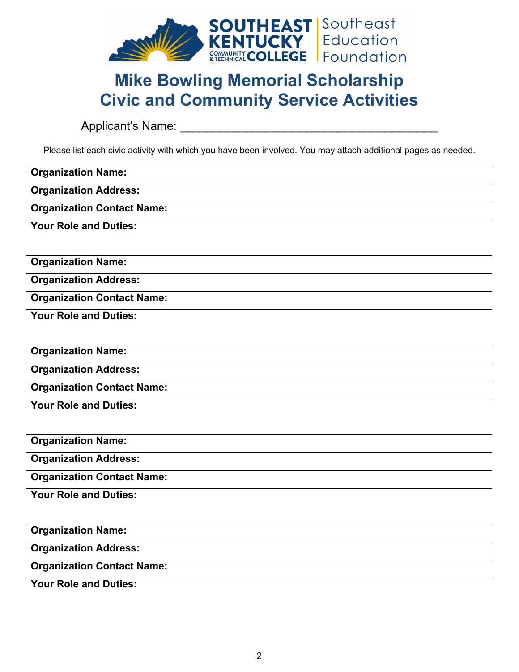

# **Mike Bowling Memorial Scholarship Civic and Community Service Activities**

Applicant's Name: \_\_\_\_\_\_\_\_\_\_\_\_\_\_\_\_\_\_\_\_\_\_\_\_\_\_\_\_\_\_\_\_\_\_\_\_\_\_\_

Please list each civic activity with which you have been involved. You may attach additional pages as needed.

| <b>Organization Name:</b>         |
|-----------------------------------|
| <b>Organization Address:</b>      |
| <b>Organization Contact Name:</b> |
| <b>Your Role and Duties:</b>      |
|                                   |
| <b>Organization Name:</b>         |
| <b>Organization Address:</b>      |
| <b>Organization Contact Name:</b> |
| <b>Your Role and Duties:</b>      |
|                                   |
| <b>Organization Name:</b>         |
| <b>Organization Address:</b>      |
| <b>Organization Contact Name:</b> |
| <b>Your Role and Duties:</b>      |
|                                   |
| <b>Organization Name:</b>         |
| <b>Organization Address:</b>      |
| <b>Organization Contact Name:</b> |
| <b>Your Role and Duties:</b>      |
|                                   |
| <b>Organization Name:</b>         |
| <b>Organization Address:</b>      |
| <b>Organization Contact Name:</b> |
| <b>Your Role and Duties:</b>      |